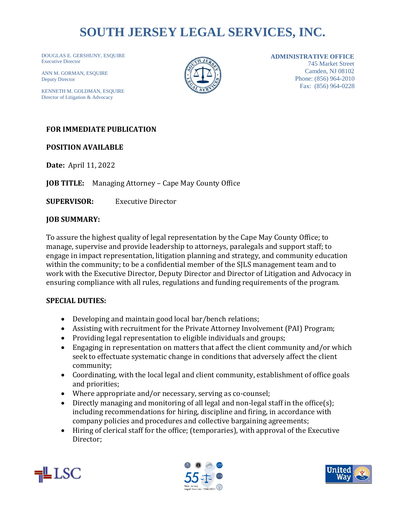# **SOUTH JERSEY LEGAL SERVICES, INC.**

DOUGLAS E. GERSHUNY, ESQUIRE Executive Director

AINN M. GONN<br>Deputy Director ANN M. GORMAN, ESOUIRE

KENNETH M. GOLDMAN, ESQUIRE Director of Litigation & Advocacy



#### **ADMINISTRATIVE OFFICE**

745 Market Street Camden, NJ 08102 Phone: (856) 964-2010 Fax: (856) 964-0228

## **FOR IMMEDIATE PUBLICATION**

**POSITION AVAILABLE**

**Date:** April 11, 2022

**JOB TITLE:** Managing Attorney – Cape May County Office

**SUPERVISOR:** Executive Director

#### **JOB SUMMARY:**

To assure the highest quality of legal representation by the Cape May County Office; to manage, supervise and provide leadership to attorneys, paralegals and support staff; to engage in impact representation, litigation planning and strategy, and community education within the community; to be a confidential member of the SJLS management team and to work with the Executive Director, Deputy Director and Director of Litigation and Advocacy in ensuring compliance with all rules, regulations and funding requirements of the program.

### **SPECIAL DUTIES:**

- Developing and maintain good local bar/bench relations;
- Assisting with recruitment for the Private Attorney Involvement (PAI) Program;
- Providing legal representation to eligible individuals and groups;
- Engaging in representation on matters that affect the client community and/or which seek to effectuate systematic change in conditions that adversely affect the client community;
- Coordinating, with the local legal and client community, establishment of office goals and priorities;
- Where appropriate and/or necessary, serving as co-counsel;
- Directly managing and monitoring of all legal and non-legal staff in the office(s); including recommendations for hiring, discipline and firing, in accordance with company policies and procedures and collective bargaining agreements;
- Hiring of clerical staff for the office; (temporaries), with approval of the Executive Director;